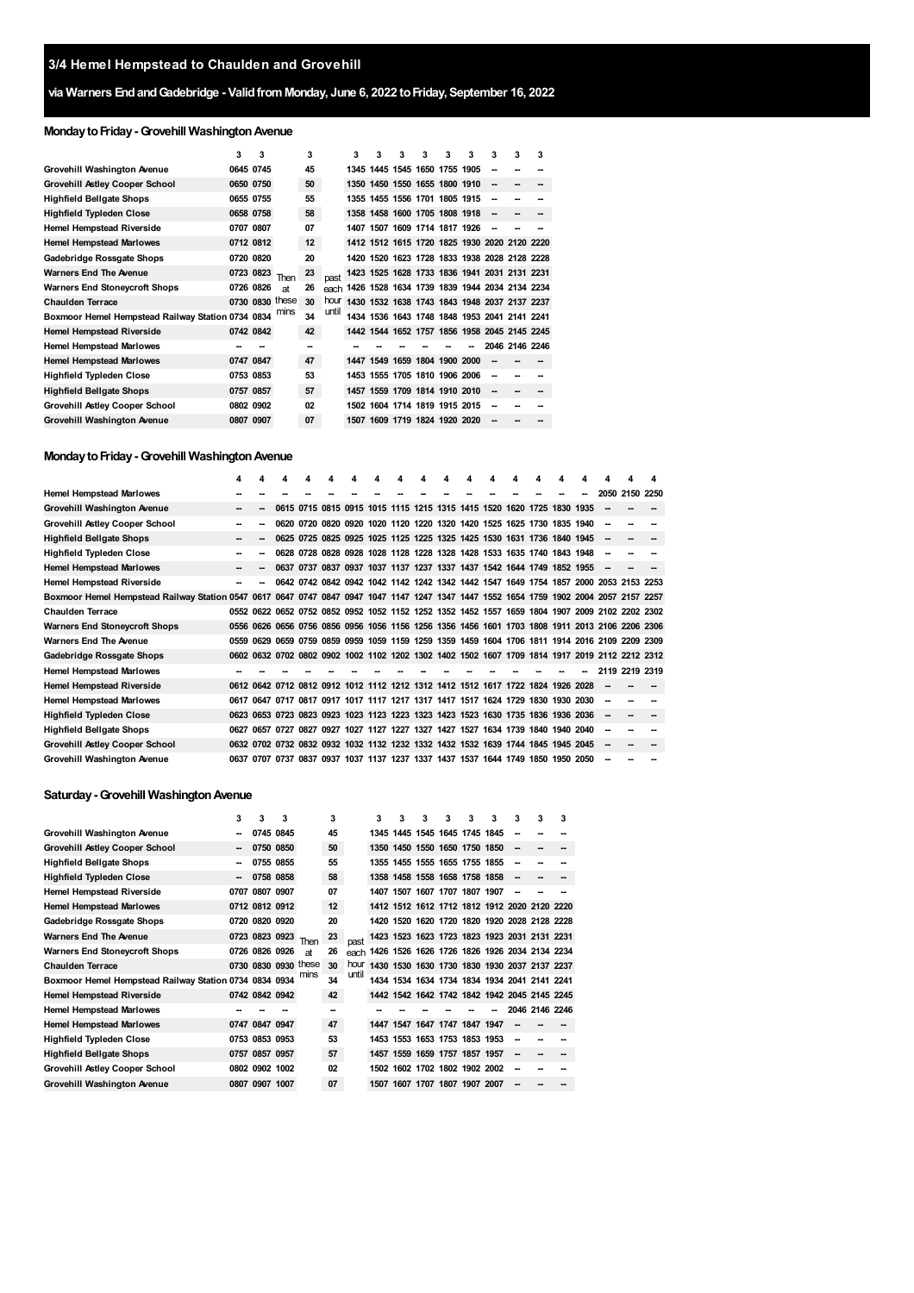# **via Warners EndandGadebridge - ValidfromMonday, June 6, 2022 toFriday, September 16, 2022**

# **MondaytoFriday-Grovehill WashingtonAvenue**

|                                                   | 3 | 3         |                 | 3  |       | 3    | 3 | з | 3                             | 3 | з | з                                            | 3              | з |
|---------------------------------------------------|---|-----------|-----------------|----|-------|------|---|---|-------------------------------|---|---|----------------------------------------------|----------------|---|
| Grovehill Washington Avenue                       |   | 0645 0745 |                 | 45 |       |      |   |   | 1345 1445 1545 1650 1755 1905 |   |   | --                                           |                |   |
| <b>Grovehill Astley Cooper School</b>             |   | 0650 0750 |                 | 50 |       |      |   |   | 1350 1450 1550 1655 1800 1910 |   |   | --                                           |                |   |
| <b>Highfield Bellgate Shops</b>                   |   | 0655 0755 |                 | 55 |       |      |   |   | 1355 1455 1556 1701 1805 1915 |   |   | --                                           |                |   |
| <b>Highfield Typleden Close</b>                   |   | 0658 0758 |                 | 58 |       |      |   |   | 1358 1458 1600 1705 1808 1918 |   |   | --                                           |                |   |
| <b>Hemel Hempstead Riverside</b>                  |   | 0707 0807 |                 | 07 |       |      |   |   | 1407 1507 1609 1714 1817 1926 |   |   | --                                           |                |   |
| <b>Hemel Hempstead Marlowes</b>                   |   | 0712 0812 |                 | 12 |       |      |   |   |                               |   |   | 1412 1512 1615 1720 1825 1930 2020 2120 2220 |                |   |
| Gadebridge Rossgate Shops                         |   | 0720 0820 |                 | 20 |       | 1420 |   |   |                               |   |   | 1520 1623 1728 1833 1938 2028 2128 2228      |                |   |
| <b>Warners End The Avenue</b>                     |   | 0723 0823 | Then            | 23 | past  |      |   |   |                               |   |   | 1423 1525 1628 1733 1836 1941 2031 2131 2231 |                |   |
| <b>Warners End Stoneycroft Shops</b>              |   | 0726 0826 | аt              | 26 | each  |      |   |   |                               |   |   | 1426 1528 1634 1739 1839 1944 2034 2134 2234 |                |   |
| <b>Chaulden Terrace</b>                           |   |           | 0730 0830 these | 30 | hour  | 1430 |   |   |                               |   |   | 1532 1638 1743 1843 1948 2037 2137 2237      |                |   |
| Boxmoor Hemel Hempstead Railway Station 0734 0834 |   |           | mins            | 34 | until | 1434 |   |   |                               |   |   | 1536 1643 1748 1848 1953 2041 2141 2241      |                |   |
| <b>Hemel Hempstead Riverside</b>                  |   | 0742 0842 |                 | 42 |       |      |   |   |                               |   |   | 1442 1544 1652 1757 1856 1958 2045 2145 2245 |                |   |
| <b>Hemel Hempstead Marlowes</b>                   |   |           |                 |    |       |      |   |   |                               |   |   |                                              | 2046 2146 2246 |   |
| <b>Hemel Hempstead Marlowes</b>                   |   | 0747 0847 |                 | 47 |       |      |   |   | 1447 1549 1659 1804 1900 2000 |   |   |                                              |                |   |
| <b>Highfield Typleden Close</b>                   |   | 0753 0853 |                 | 53 |       |      |   |   | 1453 1555 1705 1810 1906 2006 |   |   |                                              |                |   |
| <b>Highfield Bellgate Shops</b>                   |   | 0757 0857 |                 | 57 |       |      |   |   | 1457 1559 1709 1814 1910 2010 |   |   | --                                           |                |   |
| <b>Grovehill Astley Cooper School</b>             |   | 0802 0902 |                 | 02 |       |      |   |   | 1502 1604 1714 1819 1915 2015 |   |   | --                                           |                |   |
| Grovehill Washington Avenue                       |   | 0807 0907 |                 | 07 |       |      |   |   | 1507 1609 1719 1824 1920 2020 |   |   |                                              |                |   |

### **Monday to Friday - Grovehill Washington Avenue**

|                                                                                                                                        | 4    | 4  | Δ    | 4 | Δ | 4 | Δ                                                                                              | Δ | Δ | 4 | 4 |      | 4              | 4    |
|----------------------------------------------------------------------------------------------------------------------------------------|------|----|------|---|---|---|------------------------------------------------------------------------------------------------|---|---|---|---|------|----------------|------|
| <b>Hemel Hempstead Marlowes</b>                                                                                                        |      |    |      |   |   |   |                                                                                                |   |   |   |   | 2050 | 2150           | 2250 |
| Grovehill Washington Avenue                                                                                                            | --   | -- |      |   |   |   | 0615 0715 0815 0915 1015 1115 1215 1315 1415 1520 1620 1725 1830 1935                          |   |   |   |   |      |                |      |
| <b>Grovehill Astley Cooper School</b>                                                                                                  | -    |    | 0620 |   |   |   | 0720 0820 0920 1020 1120 1220 1320 1420 1525 1625 1730 1835 1940                               |   |   |   |   |      |                |      |
| <b>Highfield Bellgate Shops</b>                                                                                                        | --   |    |      |   |   |   | 0625 0725 0825 0925 1025 1125 1225 1325 1425 1530 1631 1736 1840 1945                          |   |   |   |   |      |                |      |
| <b>Highfield Typleden Close</b>                                                                                                        | --   |    |      |   |   |   | 0628 0728 0828 0928 1028 1128 1228 1328 1428 1533 1635 1740 1843 1948                          |   |   |   |   |      |                |      |
| <b>Hemel Hempstead Marlowes</b>                                                                                                        |      |    |      |   |   |   | 0637 0737 0837 0937 1037 1137 1237 1337 1437 1542 1644 1749 1852 1955                          |   |   |   |   |      |                |      |
| <b>Hemel Hempstead Riverside</b>                                                                                                       |      | -- |      |   |   |   | 0642 0742 0842 0942 1042 1142 1242 1342 1442 1547 1649 1754 1857 2000 2053 2153 2253           |   |   |   |   |      |                |      |
| Boxmoor Hemel Hempstead Railway Station 0547 0617 0647 0747 0847 0947 1047 1147 1247 1347 1447 1552 1654 1759 1902 2004 2057 2157 2257 |      |    |      |   |   |   |                                                                                                |   |   |   |   |      |                |      |
| <b>Chaulden Terrace</b>                                                                                                                |      |    |      |   |   |   | 0552 0622 0652 0752 0852 0952 1052 1152 1252 1352 1452 1557 1659 1804 1907 2009 2102 2202 2302 |   |   |   |   |      |                |      |
| <b>Warners End Stoneycroft Shops</b>                                                                                                   |      |    |      |   |   |   | 0556 0626 0656 0756 0856 0956 1056 1156 1256 1356 1456 1601 1703 1808 1911 2013 2106 2206 2306 |   |   |   |   |      |                |      |
| <b>Warners End The Avenue</b>                                                                                                          | 0559 |    |      |   |   |   | 0629 0659 0759 0859 0959 1059 1159 1259 1359 1459 1604 1706 1811 1914 2016 2109 2209 2309      |   |   |   |   |      |                |      |
| Gadebridge Rossgate Shops                                                                                                              |      |    |      |   |   |   | 0602 0632 0702 0802 0902 1002 1102 1202 1302 1402 1502 1607 1709 1814 1917 2019 2112 2212 2312 |   |   |   |   |      |                |      |
| <b>Hemel Hempstead Marlowes</b>                                                                                                        |      |    |      |   |   |   |                                                                                                |   |   |   |   |      | 2119 2219 2319 |      |
| <b>Hemel Hempstead Riverside</b>                                                                                                       |      |    |      |   |   |   | 0612 0642 0712 0812 0912 1012 1112 1212 1312 1412 1512 1617 1722 1824 1926 2028                |   |   |   |   |      |                |      |
| <b>Hemel Hempstead Marlowes</b>                                                                                                        |      |    |      |   |   |   | 0617 0647 0717 0817 0917 1017 1117 1217 1317 1417 1517 1624 1729 1830 1930 2030                |   |   |   |   |      |                |      |
| <b>Highfield Typleden Close</b>                                                                                                        |      |    |      |   |   |   | 0623 0653 0723 0823 0923 1023 1123 1223 1323 1423 1523 1630 1735 1836 1936 2036                |   |   |   |   |      |                |      |
| <b>Highfield Bellgate Shops</b>                                                                                                        | 0627 |    |      |   |   |   | 0657 0727 0827 0927 1027 1127 1227 1327 1427 1527 1634 1739 1840 1940 2040                     |   |   |   |   |      |                |      |
| <b>Grovehill Astley Cooper School</b>                                                                                                  |      |    |      |   |   |   | 0632 0702 0732 0832 0932 1032 1132 1232 1332 1432 1532 1639 1744 1845 1945 2045                |   |   |   |   |      |                |      |
| Grovehill Washington Avenue                                                                                                            |      |    |      |   |   |   | 0637 0707 0737 0837 0937 1037 1137 1237 1337 1437 1537 1644 1749 1850 1950 2050                |   |   |   |   |      |                |      |

# **Saturday-Grovehill WashingtonAvenue**

|                                                        | 3 | 3              | 3         |                      | 3  |       | 3 | 3 | 3 | 3                             | 3 | 3 | 3  | 3                                            | 3 |
|--------------------------------------------------------|---|----------------|-----------|----------------------|----|-------|---|---|---|-------------------------------|---|---|----|----------------------------------------------|---|
| Grovehill Washington Avenue                            |   |                | 0745 0845 |                      | 45 |       |   |   |   | 1345 1445 1545 1645 1745 1845 |   |   | -- |                                              |   |
| Grovehill Astley Cooper School                         |   |                | 0750 0850 |                      | 50 |       |   |   |   | 1350 1450 1550 1650 1750 1850 |   |   | -- |                                              |   |
| <b>Highfield Bellgate Shops</b>                        |   |                | 0755 0855 |                      | 55 |       |   |   |   | 1355 1455 1555 1655 1755 1855 |   |   | -- |                                              |   |
| <b>Highfield Typleden Close</b>                        | - |                | 0758 0858 |                      | 58 |       |   |   |   | 1358 1458 1558 1658 1758 1858 |   |   | -- |                                              |   |
| Hemel Hempstead Riverside                              |   | 0707 0807 0907 |           |                      | 07 |       |   |   |   | 1407 1507 1607 1707 1807 1907 |   |   | -- |                                              |   |
| <b>Hemel Hempstead Marlowes</b>                        |   | 0712 0812 0912 |           |                      | 12 |       |   |   |   |                               |   |   |    | 1412 1512 1612 1712 1812 1912 2020 2120 2220 |   |
| Gadebridge Rossgate Shops                              |   | 0720 0820 0920 |           |                      | 20 |       |   |   |   |                               |   |   |    | 1420 1520 1620 1720 1820 1920 2028 2128 2228 |   |
| <b>Warners End The Avenue</b>                          |   | 0723 0823 0923 |           | Then                 | 23 | past  |   |   |   |                               |   |   |    | 1423 1523 1623 1723 1823 1923 2031 2131 2231 |   |
| <b>Warners End Stoneycroft Shops</b>                   |   | 0726 0826 0926 |           | at                   | 26 | each  |   |   |   |                               |   |   |    | 1426 1526 1626 1726 1826 1926 2034 2134 2234 |   |
| <b>Chaulden Terrace</b>                                |   |                |           | 0730 0830 0930 these | 30 | hour  |   |   |   |                               |   |   |    | 1430 1530 1630 1730 1830 1930 2037 2137 2237 |   |
| Boxmoor Hemel Hempstead Railway Station 0734 0834 0934 |   |                |           | mins                 | 34 | until |   |   |   |                               |   |   |    | 1434 1534 1634 1734 1834 1934 2041 2141 2241 |   |
| <b>Hemel Hempstead Riverside</b>                       |   | 0742 0842 0942 |           |                      | 42 |       |   |   |   |                               |   |   |    | 1442 1542 1642 1742 1842 1942 2045 2145 2245 |   |
| <b>Hemel Hempstead Marlowes</b>                        |   |                |           |                      | -- |       |   |   |   |                               |   |   |    | 2046 2146 2246                               |   |
| <b>Hemel Hempstead Marlowes</b>                        |   | 0747 0847 0947 |           |                      | 47 |       |   |   |   | 1447 1547 1647 1747 1847 1947 |   |   | -- |                                              |   |
| <b>Highfield Typleden Close</b>                        |   | 0753 0853 0953 |           |                      | 53 |       |   |   |   | 1453 1553 1653 1753 1853 1953 |   |   | -- |                                              |   |
| <b>Highfield Bellgate Shops</b>                        |   | 0757 0857 0957 |           |                      | 57 |       |   |   |   | 1457 1559 1659 1757 1857 1957 |   |   | -- |                                              |   |
| <b>Grovehill Astley Cooper School</b>                  |   | 0802 0902 1002 |           |                      | 02 |       |   |   |   | 1502 1602 1702 1802 1902 2002 |   |   | -- |                                              |   |
| Grovehill Washington Avenue                            |   | 0807 0907 1007 |           |                      | 07 |       |   |   |   | 1507 1607 1707 1807 1907 2007 |   |   |    |                                              |   |